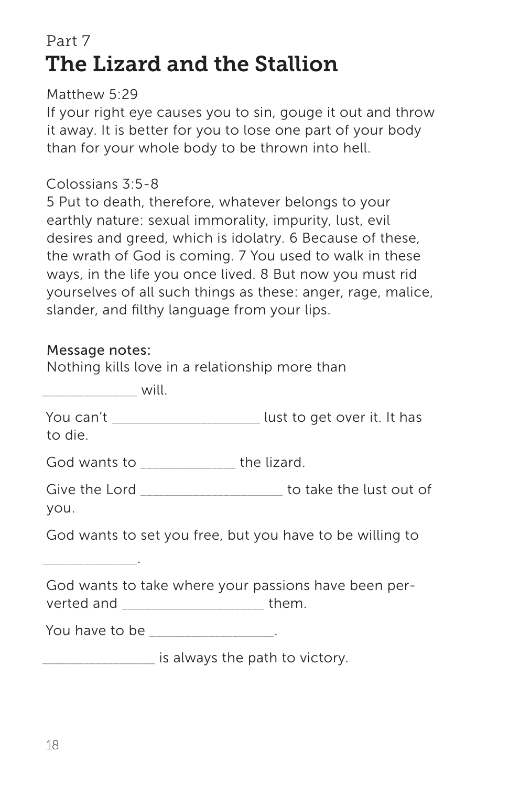# Part 7 The Lizard and the Stallion

## Matthew 5:29

If your right eye causes you to sin, gouge it out and throw it away. It is better for you to lose one part of your body than for your whole body to be thrown into hell.

## Colossians 3:5-8

5 Put to death, therefore, whatever belongs to your earthly nature: sexual immorality, impurity, lust, evil desires and greed, which is idolatry. 6 Because of these, the wrath of God is coming. 7 You used to walk in these ways, in the life you once lived. 8 But now you must rid yourselves of all such things as these: anger, rage, malice, slander, and filthy language from your lips.

## Message notes:

Nothing kills love in a relationship more than

 $\sim$  will. You can't all the set over it. It has to die. God wants to \_\_\_\_\_\_\_\_\_\_\_\_\_\_\_\_ the lizard. Give the Lord **Container to take the lust out of** you. God wants to set you free, but you have to be willing to \_\_\_\_\_\_\_\_\_\_\_\_\_\_\_\_. God wants to take where your passions have been perverted and **them**.

You have to be \_\_\_\_\_\_\_\_\_\_\_\_\_\_\_\_\_\_\_\_\_.

is always the path to victory.